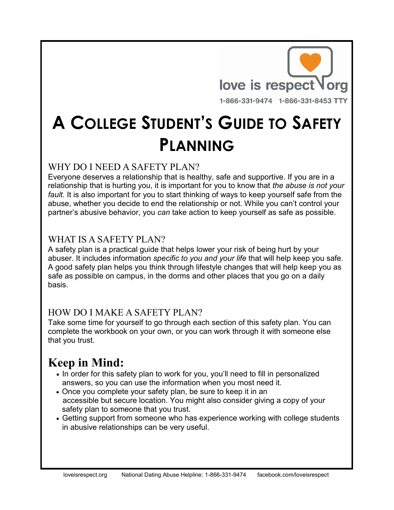

## **A COLLEGE STUDENT'S GUIDE TO SAFETY PLANNING**

### WHY DO I NEED A SAFETY PLAN?

Everyone deserves a relationship that is healthy, safe and supportive. If you are in a relationship that is hurting you, it is important for you to know that *the abuse is not your fault.* It is also important for you to start thinking of ways to keep yourself safe from the abuse, whether you decide to end the relationship or not. While you can't control your partner's abusive behavior, you *can* take action to keep yourself as safe as possible.

#### WHAT IS A SAFETY PLAN?

A safety plan is a practical guide that helps lower your risk of being hurt by your abuser. It includes information *specific to you and your life* that will help keep you safe. A good safety plan helps you think through lifestyle changes that will help keep you as safe as possible on campus, in the dorms and other places that you go on a daily basis.

### HOW DO I MAKE A SAFETY PLAN?

Take some time for yourself to go through each section of this safety plan. You can complete the workbook on your own, or you can work through it with someone else that you trust.

### **Keep in Mind:**

- In order for this safety plan to work for you, you'll need to fill in personalized answers, so you can use the information when you most need it.
- Once you complete your safety plan, be sure to keep it in an accessible but secure location. You might also consider giving a copy of your safety plan to someone that you trust.
- Getting support from someone who has experience working with college students in abusive relationships can be very useful.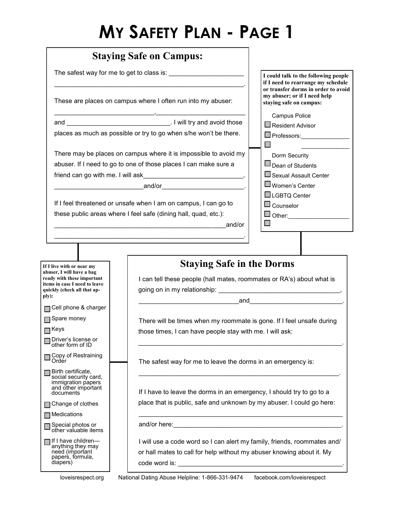## **MY SAFETY PLAN - PAGE 1**

| <b>Staying Safe on Campus:</b>                                                                                                                                |                                                                                                                                                                                                                                                                                      |                                                                                                                                                                                                                                      |
|---------------------------------------------------------------------------------------------------------------------------------------------------------------|--------------------------------------------------------------------------------------------------------------------------------------------------------------------------------------------------------------------------------------------------------------------------------------|--------------------------------------------------------------------------------------------------------------------------------------------------------------------------------------------------------------------------------------|
|                                                                                                                                                               |                                                                                                                                                                                                                                                                                      | I could talk to the following people<br>if I need to rearrange my schedule                                                                                                                                                           |
| These are places on campus where I often run into my abuser:                                                                                                  |                                                                                                                                                                                                                                                                                      | or transfer dorms in order to avoid<br>my abuser; or if I need help<br>staying safe on campus:                                                                                                                                       |
| places as much as possible or try to go when s/he won't be there.                                                                                             |                                                                                                                                                                                                                                                                                      | Campus Police<br>$\Box$ Resident Advisor<br>□Professors: _______________                                                                                                                                                             |
|                                                                                                                                                               | There may be places on campus where it is impossible to avoid my<br>abuser. If I need to go to one of those places I can make sure a<br>If I feel threatened or unsafe when I am on campus, I can go to<br>these public areas where I feel safe (dining hall, quad, etc.):<br>and/or | Dorm Security<br>$\Box$ Dean of Students<br>$\Box$ Sexual Assault Center<br>Women's Center<br>$\Box$ LGBTQ Center<br>$\Box$ Counselor                                                                                                |
| If I live with or near my<br>abuser, I will have a bag<br>ready with these important<br>items in case I need to leave<br>quickly (check all that ap-<br>ply): | <b>Staying Safe in the Dorms</b><br>I can tell these people (hall mates, roommates or RA's) about what is                                                                                                                                                                            | and <u>the contract of the contract of the contract of the contract of the contract of the contract of the contract of the contract of the contract of the contract of the contract of the contract of the contract of the contr</u> |
| Cell phone & charger<br>Spare money<br>¶Keys<br>Driver's license or<br>other form of ID                                                                       | There will be times when my roommate is gone. If I feel unsafe during<br>those times, I can have people stay with me. I will ask:                                                                                                                                                    |                                                                                                                                                                                                                                      |
| Copy of Restraining<br>Order<br>Birth certificate,                                                                                                            | The safest way for me to leave the dorms in an emergency is:                                                                                                                                                                                                                         |                                                                                                                                                                                                                                      |
| social security card,<br>immigration papers<br>and other important<br>documents<br>Change of clothes                                                          | If I have to leave the dorms in an emergency, I should try to go to a<br>place that is public, safe and unknown by my abuser. I could go here:                                                                                                                                       |                                                                                                                                                                                                                                      |
| Medications<br>Special photos or<br>other valuable items                                                                                                      |                                                                                                                                                                                                                                                                                      |                                                                                                                                                                                                                                      |
| If I have children-<br>anything they may<br>need (important<br>papers, formula,<br>diapers)                                                                   | I will use a code word so I can alert my family, friends, roommates and/<br>or hall mates to call for help without my abuser knowing about it. My                                                                                                                                    |                                                                                                                                                                                                                                      |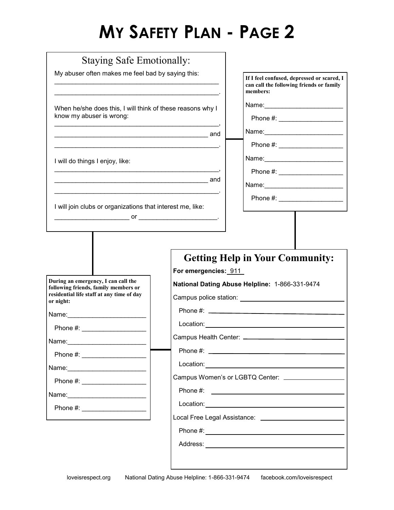## **MY SAFETY PLAN - PAGE 2**

| <b>Staying Safe Emotionally:</b><br>My abuser often makes me feel bad by saying this:                                                                                                                                                                                                       |                                                         | If I feel confused, depressed or scared, I<br>can call the following friends or family<br>members:                                                                                                                                                                                                                         |
|---------------------------------------------------------------------------------------------------------------------------------------------------------------------------------------------------------------------------------------------------------------------------------------------|---------------------------------------------------------|----------------------------------------------------------------------------------------------------------------------------------------------------------------------------------------------------------------------------------------------------------------------------------------------------------------------------|
| When he/she does this, I will think of these reasons why I<br>know my abuser is wrong:                                                                                                                                                                                                      |                                                         |                                                                                                                                                                                                                                                                                                                            |
|                                                                                                                                                                                                                                                                                             |                                                         |                                                                                                                                                                                                                                                                                                                            |
| <u> 1989 - Johann John Stone, markin sanadi a shekara ta 1989 - An tsara tsara tsara tsara tsara tsara tsara tsa</u>                                                                                                                                                                        |                                                         | Phone #: ______________________                                                                                                                                                                                                                                                                                            |
| I will do things I enjoy, like:                                                                                                                                                                                                                                                             |                                                         |                                                                                                                                                                                                                                                                                                                            |
|                                                                                                                                                                                                                                                                                             |                                                         | Phone #: ______________________                                                                                                                                                                                                                                                                                            |
|                                                                                                                                                                                                                                                                                             |                                                         |                                                                                                                                                                                                                                                                                                                            |
| I will join clubs or organizations that interest me, like:                                                                                                                                                                                                                                  |                                                         |                                                                                                                                                                                                                                                                                                                            |
| During an emergency, I can call the<br>following friends, family members or<br>residential life staff at any time of day<br>or night:<br>Name: 2008 2010 2021 2022 2023 2024 2022 2022 2023 2024 2022 2023 2024 2022 2023 2024 2022 2023 2024 2025 2026<br>Phone #: _______________________ | For emergencies: 911<br>Campus Health Center: _________ | <b>Getting Help in Your Community:</b><br>National Dating Abuse Helpline: 1-866-331-9474<br>Campus police station: Campus control of the control of the control of the control of the control of the control of the control of the control of the control of the control of the control of the control of the control of t |